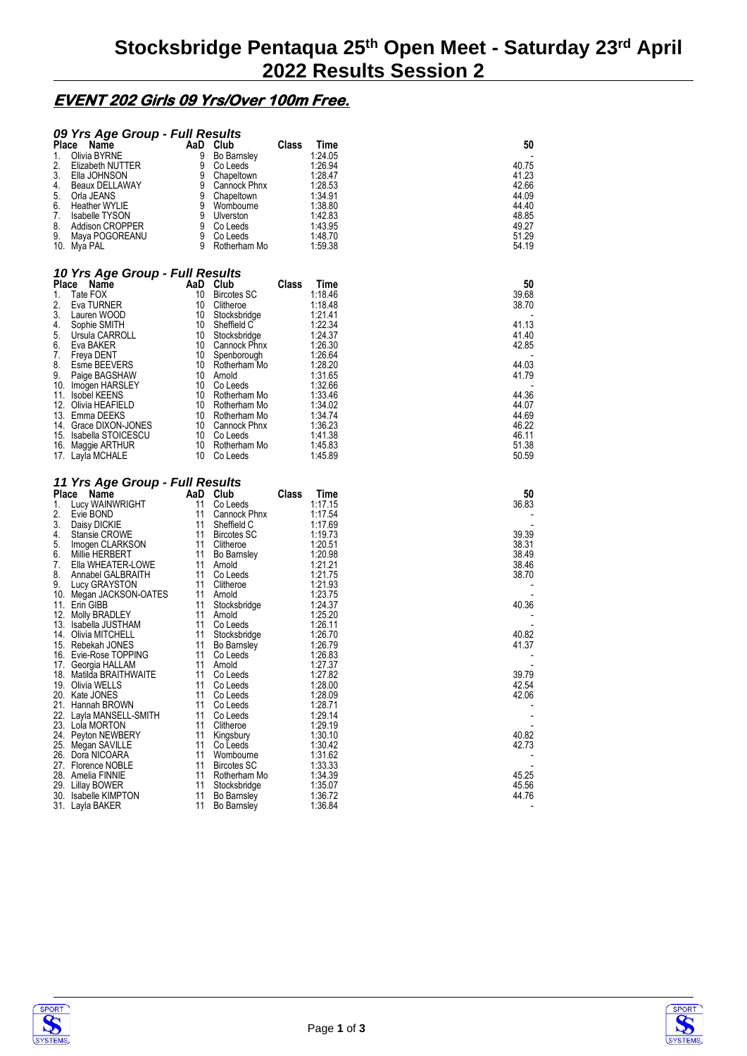## **EVENT 202 Girls 09 Yrs/Over 100m Free.**

|              | 09 Yrs Age Group - Full Results             |          |                                   |       |                    |       |  |
|--------------|---------------------------------------------|----------|-----------------------------------|-------|--------------------|-------|--|
| <b>Place</b> | Name                                        | AaD      | Club                              | Class | Time               | 50    |  |
| 1.           | Olivia BYRNE                                | 9        | <b>Bo Barnsley</b>                |       | 1:24.05            |       |  |
| 2.           | Elizabeth NUTTER                            | 9        | Co Leeds                          |       | 1:26.94            | 40.75 |  |
| 3.           | Ella JOHNSON                                | 9        | Chapeltown                        |       | 1:28.47            | 41.23 |  |
| 4.           | Beaux DELLAWAY                              | 9        | Cannock Phnx                      |       | 1:28.53            | 42.66 |  |
| 5.           | Orla JEANS                                  | 9        | Chapeltown                        |       | 1:34.91            | 44.09 |  |
| 6.           | <b>Heather WYLIE</b>                        | 9        | Wombourne                         |       | 1:38.80            | 44.40 |  |
| 7.           | <b>Isabelle TYSON</b>                       | 9        | Ulverston                         |       | 1:42.83            | 48.85 |  |
| 8.           | Addison CROPPER                             | 9        | Co Leeds                          |       | 1:43.95            | 49.27 |  |
| 9.           | Maya POGOREANU                              | 9        | Co Leeds                          |       | 1:48.70            | 51.29 |  |
|              | 10. Mya PAL                                 | 9        | Rotherham Mo                      |       | 1:59.38            | 54.19 |  |
|              |                                             |          |                                   |       |                    |       |  |
|              | 10 Yrs Age Group - Full Results             |          |                                   |       |                    |       |  |
| Place        | Name                                        |          | AaD Club                          | Class | Time               | 50    |  |
| 1.           | Tate FOX                                    | 10       | <b>Bircotes SC</b>                |       | 1:18.46            | 39.68 |  |
| 2.           | Eva TURNER                                  | 10       | Clitheroe                         |       | 1:18.48            | 38.70 |  |
| 3.           | Lauren WOOD                                 | 10       | Stocksbridge                      |       | 1:21.41            |       |  |
| 4.           | Sophie SMITH                                | 10       | Sheffield C                       |       | 1:22.34            | 41.13 |  |
| 5.           | Ursula CARROLL                              | 10       | Stocksbridge                      |       | 1:24.37            | 41.40 |  |
| 6.           | Eva BAKER                                   | 10       | Cannock Phnx                      |       | 1:26.30            | 42.85 |  |
| 7.           | Freya DENT                                  | 10       | Spenborough                       |       | 1:26.64            |       |  |
| 8.           | Esme BEEVERS                                | 10       | Rotherham Mo                      |       | 1:28.20            | 44.03 |  |
| 9.           | Paige BAGSHAW                               | 10       | Arnold                            |       | 1:31.65            | 41.79 |  |
|              | 10. Imogen HARSLEY                          | 10       | Co Leeds                          |       | 1:32.66            |       |  |
|              | 11. Isobel KEENS                            | 10       | Rotherham Mo                      |       | 1:33.46            | 44.36 |  |
|              | 12. Olivia HEAFIELD                         | 10       | Rotherham Mo                      |       | 1:34.02            | 44.07 |  |
|              | 13. Emma DEEKS                              | 10       | Rotherham Mo                      |       | 1:34.74            | 44.69 |  |
|              | 14. Grace DIXON-JONES                       |          | 10 Cannock Phnx                   |       | 1:36.23            | 46.22 |  |
|              | 15. Isabella STOICESCU                      |          | 10 Co Leeds                       |       | 1:41.38            | 46.11 |  |
|              | 16. Maggie ARTHUR                           | 10       | Rotherham Mo                      |       | 1:45.83            | 51.38 |  |
|              | 17. Layla MCHALE                            | 10       | Co Leeds                          |       | 1:45.89            | 50.59 |  |
|              |                                             |          |                                   |       |                    |       |  |
|              |                                             |          |                                   |       |                    |       |  |
|              | 11 Yrs Age Group - Full Results             |          |                                   |       |                    |       |  |
|              | Place<br>Name                               | AaD Club |                                   | Class | Time               | 50    |  |
| 1.           | Lucy WAINWRIGHT                             | 11       | Co Leeds                          |       | 1:17.15            | 36.83 |  |
| 2.           | Evie BOND                                   | 11       | Cannock Phnx                      |       | 1:17.54            |       |  |
| 3.           | Daisy DICKIE                                | 11       | Sheffield C                       |       | 1:17.69            |       |  |
| 4.           | Stansie CROWE                               | 11       | <b>Bircotes SC</b>                |       | 1:19.73            | 39.39 |  |
| 5.           | Imogen CLARKSON                             | 11       | Clitheroe                         |       | 1:20.51            | 38.31 |  |
| 6.           | Millie HERBERT                              | 11       | Bo Barnsley                       |       | 1:20.98            | 38.49 |  |
| 7.           | Ella WHEATER-LOWE                           | 11       | Arnold                            |       | 1:21.21            | 38.46 |  |
| 8.           | Annabel GALBRAITH                           | 11       | Co Leeds                          |       | 1:21.75            | 38.70 |  |
| 9.           | Lucy GRAYSTON                               | 11       | Clitheroe                         |       | 1:21.93            |       |  |
|              | 10. Megan JACKSON-OATES                     | 11       | Arnold                            |       | 1:23.75            |       |  |
|              | 11. Erin GIBB                               | 11       | Stocksbridge                      |       | 1:24.37            | 40.36 |  |
|              | 12. Molly BRADLEY                           | 11       | Arnold                            |       | 1:25.20            |       |  |
|              | 13. Isabella JUSTHAM                        | 11       | Co Leeds                          |       | 1:26.11            |       |  |
|              | 14. Olivia MITCHELL                         | 11       | Stocksbridge                      |       | 1:26.70            | 40.82 |  |
|              | 15. Rebekah JONES                           | 11       | Bo Barnsley                       |       | 1:26.79            | 41.37 |  |
|              | 16. Evie-Rose TOPPING                       | 11<br>11 | Co Leeds                          |       | 1:26.83            |       |  |
|              | 17. Georgia HALLAM                          | 11       | Arnold                            |       | 1:27.37<br>1:27.82 | 39.79 |  |
|              | 18. Matilda BRAITHWAITE<br>19. Olivia WELLS | 11       | Co Leeds<br>Co Leeds              |       | 1:28.00            | 42.54 |  |
|              | 20. Kate JONES                              | 11       | Co Leeds                          |       | 1:28.09            | 42.06 |  |
|              | 21. Hannah BROWN                            | 11       | Co Leeds                          |       | 1:28.71            |       |  |
|              | 22. Layla MANSELL-SMITH                     | 11       | Co Leeds                          |       | 1:29.14            |       |  |
|              | 23. Lola MORTON                             | 11       | Clitheroe                         |       | 1:29.19            |       |  |
|              | 24. Peyton NEWBERY                          | 11       | Kingsbury                         |       | 1:30.10            | 40.82 |  |
| 25.          | Megan SAVILLE                               | 11       | Co Leeds                          |       | 1:30.42            | 42.73 |  |
|              | 26. Dora NICOARA                            | 11       | Wombourne                         |       | 1:31.62            |       |  |
|              | 27. Florence NOBLE                          | 11       | <b>Bircotes SC</b>                |       | 1:33.33            |       |  |
|              | 28. Amelia FINNIE                           | 11       | Rotherham Mo                      |       | 1:34.39            | 45.25 |  |
|              | 29. Lillay BOWER                            | 11       | Stocksbridge                      |       | 1:35.07            | 45.56 |  |
|              | 30. Isabelle KIMPTON<br>31. Layla BAKER     | 11<br>11 | Bo Barnsley<br><b>Bo Barnsley</b> |       | 1:36.72<br>1:36.84 | 44.76 |  |



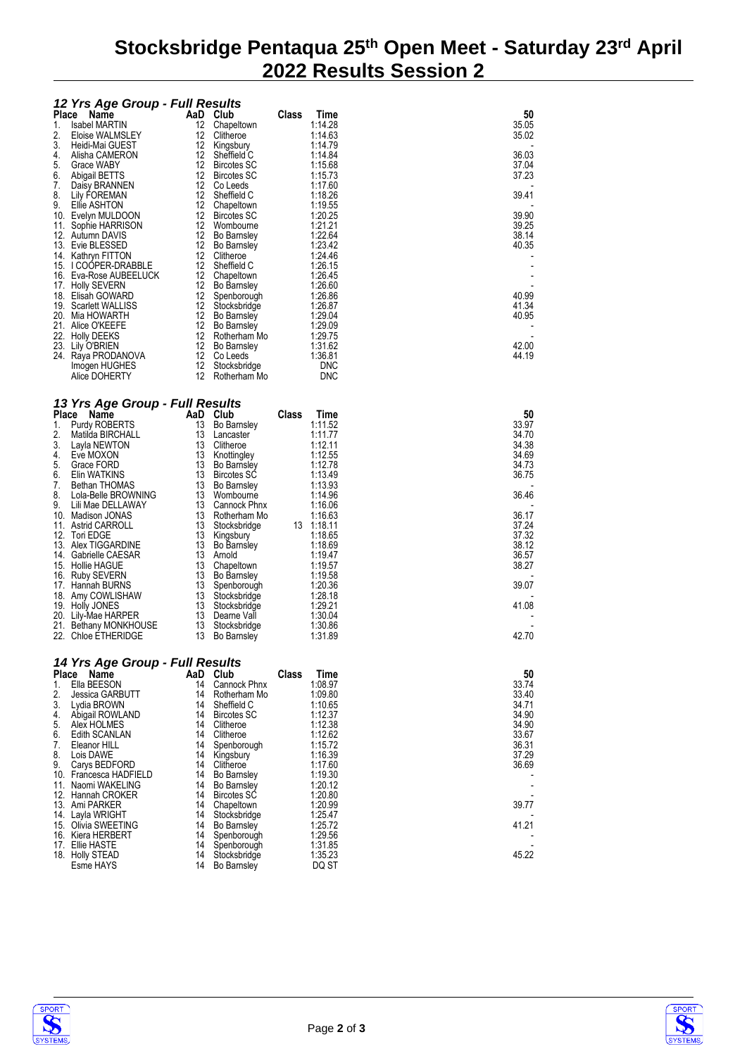## **Stocksbridge Pentaqua 25th Open Meet - Saturday 23rd April 2022 Results Session 2**

|            | 12 Yrs Age Group - Full Results              |          |                                    |       |                    |                |
|------------|----------------------------------------------|----------|------------------------------------|-------|--------------------|----------------|
| Place      | Name                                         |          | AaD Club                           | Class | Time               | 50             |
| 1.<br>2.   | <b>Isabel MARTIN</b><br>Eloise WALMSLEY      | 12<br>12 | Chapeltown<br>Clitheroe            |       | 1:14.28<br>1:14.63 | 35.05<br>35.02 |
| 3.         | Heidi-Mai GUEST                              | 12       | Kingsbury                          |       | 1:14.79            |                |
| 4.         | Alisha CAMERON                               | 12       | Sheffield C                        |       | 1:14.84            | 36.03          |
| 5.         | Grace WABY                                   | 12       | <b>Bircotes SC</b>                 |       | 1:15.68            | 37.04          |
| 6.<br>7.   | Abigail BETTS<br>Daisy BRANNEN               | 12<br>12 | <b>Bircotes SC</b><br>Co Leeds     |       | 1:15.73<br>1:17.60 | 37.23          |
| 8.         | Lily FOREMAN                                 | 12       | Sheffield C                        |       | 1:18.26            | 39.41          |
| 9.         | Ellie ASHTON                                 | 12       | Chapeltown                         |       | 1:19.55            |                |
| 10.<br>11. | Evelyn MULDOON<br>Sophie HARRISON            | 12<br>12 | <b>Bircotes SC</b><br>Wombourne    |       | 1:20.25<br>1:21.21 | 39.90<br>39.25 |
|            | 12. Autumn DAVIS                             | 12       | <b>Bo Barnsley</b>                 |       | 1:22.64            | 38.14          |
|            | 13. Evie BLESSED                             | 12       | <b>Bo Barnsley</b>                 |       | 1:23.42            | 40.35          |
|            | 14. Kathryn FITTON<br>15. I COOPER-DRABBLE   | 12<br>12 | Clitheroe<br>Sheffield C           |       | 1:24.46<br>1:26.15 |                |
|            | 16. Eva-Rose AUBEELUCK                       | 12       | Chapeltown                         |       | 1:26.45            |                |
| 17.        | <b>Holly SEVERN</b>                          | 12       | <b>Bo Barnsley</b>                 |       | 1:26.60            |                |
| 19.        | 18. Elisah GOWARD<br>Scarlett WALLISS        | 12<br>12 | Spenborough<br>Stocksbridge        |       | 1:26.86<br>1:26.87 | 40.99<br>41.34 |
|            | 20. Mia HOWARTH                              | 12       | <b>Bo Barnsley</b>                 |       | 1:29.04            | 40.95          |
| 21.        | Alice O'KEEFE                                | 12       | <b>Bo Barnsley</b>                 |       | 1:29.09            |                |
|            | 22. Holly DEEKS                              | 12       | Rotherham Mo                       |       | 1:29.75            | 42.00          |
|            | 23. Lily O'BRIEN<br>24. Raya PRODANOVA       | 12<br>12 | <b>Bo Barnsley</b><br>Co Leeds     |       | 1:31.62<br>1:36.81 | 44.19          |
|            | Imogen HUGHES                                | 12       | Stocksbridge                       |       | <b>DNC</b>         |                |
|            | Alice DOHERTY                                | 12       | Rotherham Mo                       |       | <b>DNC</b>         |                |
|            |                                              |          |                                    |       |                    |                |
| Place      | 13 Yrs Age Group - Full Results<br>Name      |          | AaD Club                           | Class | Time               | 50             |
| 1.         | Purdy ROBERTS                                | 13       | <b>Bo Barnsley</b>                 |       | 1:11.52            | 33.97          |
| 2.         | Matilda BIRCHALL                             | 13       | Lancaster                          |       | 1:11.77            | 34.70          |
| 3.         | Layla NEWTON                                 | 13       | Clitheroe                          |       | 1:12.11            | 34.38          |
| 4.<br>5.   | Eve MOXON<br>Grace FORD                      | 13<br>13 | Knottingley<br><b>Bo Barnsley</b>  |       | 1:12.55<br>1:12.78 | 34.69<br>34.73 |
| 6.         | Elin WATKINS                                 | 13       | <b>Bircotes SC</b>                 |       | 1:13.49            | 36.75          |
| 7.         | Bethan THOMAS                                | 13       | Bo Barnsley                        |       | 1:13.93            |                |
| 8.<br>9.   | Lola-Belle BROWNING<br>Lili Mae DELLAWAY     | 13<br>13 | Wombourne<br>Cannock Phnx          |       | 1:14.96<br>1:16.06 | 36.46          |
| 10.        | Madison JONAS                                | 13       | Rotherham Mo                       |       | 1:16.63            | 36.17          |
|            | 11. Astrid CARROLL                           | 13       | Stocksbridge                       |       | 13 1:18.11         | 37.24          |
| 13.        | 12. Tori EDGE<br>Alex TIGGARDINE             | 13<br>13 | Kingsbury<br><b>Bo Barnsley</b>    |       | 1:18.65<br>1:18.69 | 37.32<br>38.12 |
|            | 14. Gabrielle CAESAR                         | 13       | Arnold                             |       | 1:19.47            | 36.57          |
|            | 15. Hollie HAGUE                             | 13       | Chapeltown                         |       | 1:19.57            | 38.27          |
| 16.        | <b>Ruby SEVERN</b>                           | 13       | <b>Bo Barnsley</b>                 |       | 1:19.58            |                |
|            | 17. Hannah BURNS<br>18. Amy COWLISHAW        | 13<br>13 | Spenborough<br>Stocksbridge        |       | 1:20.36<br>1:28.18 | 39.07          |
|            | 19. Holly JONES                              | 13       | Stocksbridge                       |       | 1:29.21            | 41.08          |
|            | 20. Lily-Mae HARPER                          | 13       | Dearne Vall                        |       | 1:30.04            |                |
|            | 21. Bethany MONKHOUSE<br>22. Chloe ETHERIDGE | 13<br>13 | Stocksbridge<br><b>Bo Barnsley</b> |       | 1:30.86<br>1:31.89 | 42.70          |
|            |                                              |          |                                    |       |                    |                |
|            | 14 Yrs Age Group - Full Results              |          |                                    |       |                    |                |
| Place      | Name                                         | AaD      | Club                               | Class | Time               | 50             |
| 1.<br>2.   | Ella BEESON<br><b>Jessica GARBUTT</b>        | 14<br>14 | Cannock Phnx<br>Rotherham Mo       |       | 1:08.97<br>1:09.80 | 33.74<br>33.40 |
| 3.         | Lydia BROWN                                  | 14       | Sheffield C                        |       | 1:10.65            | 34.71          |
| 4.         | Abigail ROWLAND                              | 14       | <b>Bircotes SC</b>                 |       | 1:12.37            | 34.90          |
| 5.         | Alex HOLMES                                  | 14       | Clitheroe                          |       | 1:12.38            | 34.90          |
| 6.<br>7.   | Edith SCANLAN<br>Eleanor HILL                | 14<br>14 | Clitheroe<br>Spenborough           |       | 1:12.62<br>1:15.72 | 33.67<br>36.31 |
| 8.         | Lois DAWE                                    | 14       | Kingsbury                          |       | 1:16.39            | 37.29          |
| 9.         | Carys BEDFORD                                | 14       | Clitheroe                          |       | 1:17.60            | 36.69          |
|            | 10. Francesca HADFIELD<br>11. Naomi WAKELING | 14<br>14 | Bo Barnsley<br><b>Bo Barnsley</b>  |       | 1:19.30<br>1:20.12 |                |
|            | 12. Hannah CROKER                            | 14       | <b>Bircotes SC</b>                 |       | 1:20.80            |                |
|            | 13. Ami PARKER                               | 14       | Chapeltown                         |       | 1:20.99            | 39.77          |
|            | 14. Layla WRIGHT                             | 14<br>14 | Stocksbridge                       |       | 1:25.47<br>1:25.72 | 41.21          |
|            | 15. Olivia SWEETING<br>16. Kiera HERBERT     | 14       | <b>Bo Barnsley</b><br>Spenborough  |       | 1:29.56            |                |
|            | 17. Ellie HASTE                              | 14       | Spenborough                        |       | 1:31.85            |                |
|            | 18. Holly STEAD                              | 14       | Stocksbridge                       |       | 1:35.23            | 45.22          |
|            | Esme HAYS                                    | 14       | <b>Bo Barnsley</b>                 |       | DQ ST              |                |